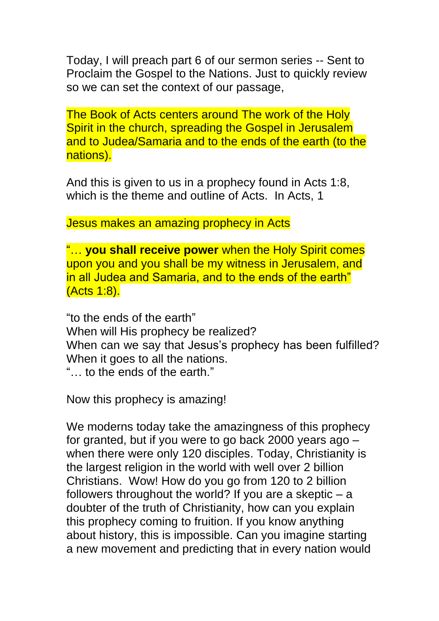Today, I will preach part 6 of our sermon series -- Sent to Proclaim the Gospel to the Nations. Just to quickly review so we can set the context of our passage,

The Book of Acts centers around The work of the Holy Spirit in the church, spreading the Gospel in Jerusalem and to Judea/Samaria and to the ends of the earth (to the nations).

And this is given to us in a prophecy found in Acts 1:8, which is the theme and outline of Acts. In Acts, 1

Jesus makes an amazing prophecy in Acts

"… **you shall receive power** when the Holy Spirit comes upon you and you shall be my witness in Jerusalem, and in all Judea and Samaria, and to the ends of the earth" (Acts 1:8).

"to the ends of the earth" When will His prophecy be realized? When can we say that Jesus's prophecy has been fulfilled? When it goes to all the nations. "… to the ends of the earth."

Now this prophecy is amazing!

We moderns today take the amazingness of this prophecy for granted, but if you were to go back 2000 years ago – when there were only 120 disciples. Today, Christianity is the largest religion in the world with well over 2 billion Christians. Wow! How do you go from 120 to 2 billion followers throughout the world? If you are a skeptic – a doubter of the truth of Christianity, how can you explain this prophecy coming to fruition. If you know anything about history, this is impossible. Can you imagine starting a new movement and predicting that in every nation would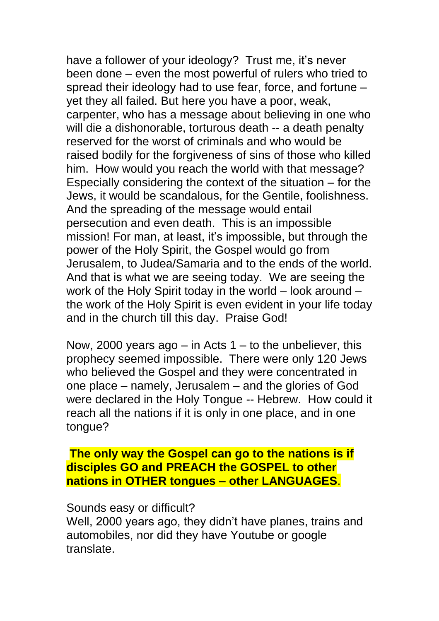have a follower of your ideology? Trust me, it's never been done – even the most powerful of rulers who tried to spread their ideology had to use fear, force, and fortune – yet they all failed. But here you have a poor, weak, carpenter, who has a message about believing in one who will die a dishonorable, torturous death -- a death penalty reserved for the worst of criminals and who would be raised bodily for the forgiveness of sins of those who killed him. How would you reach the world with that message? Especially considering the context of the situation – for the Jews, it would be scandalous, for the Gentile, foolishness. And the spreading of the message would entail persecution and even death. This is an impossible mission! For man, at least, it's impossible, but through the power of the Holy Spirit, the Gospel would go from Jerusalem, to Judea/Samaria and to the ends of the world. And that is what we are seeing today. We are seeing the work of the Holy Spirit today in the world – look around – the work of the Holy Spirit is even evident in your life today and in the church till this day. Praise God!

Now, 2000 years ago – in Acts  $1 -$  to the unbeliever, this prophecy seemed impossible. There were only 120 Jews who believed the Gospel and they were concentrated in one place – namely, Jerusalem – and the glories of God were declared in the Holy Tongue -- Hebrew. How could it reach all the nations if it is only in one place, and in one tongue?

#### **The only way the Gospel can go to the nations is if disciples GO and PREACH the GOSPEL to other nations in OTHER tongues – other LANGUAGES**.

#### Sounds easy or difficult?

Well, 2000 years ago, they didn't have planes, trains and automobiles, nor did they have Youtube or google translate.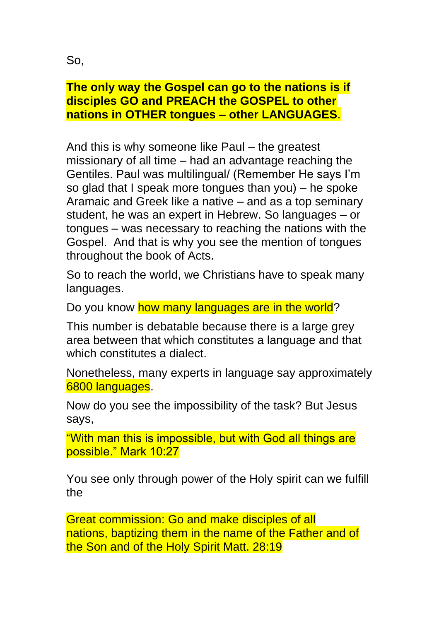So,

# **The only way the Gospel can go to the nations is if disciples GO and PREACH the GOSPEL to other nations in OTHER tongues – other LANGUAGES**.

And this is why someone like Paul – the greatest missionary of all time – had an advantage reaching the Gentiles. Paul was multilingual/ (Remember He says I'm so glad that I speak more tongues than you) – he spoke Aramaic and Greek like a native – and as a top seminary student, he was an expert in Hebrew. So languages – or tongues – was necessary to reaching the nations with the Gospel. And that is why you see the mention of tongues throughout the book of Acts.

So to reach the world, we Christians have to speak many languages.

Do you know how many languages are in the world?

This number is debatable because there is a large grey area between that which constitutes a language and that which constitutes a dialect.

Nonetheless, many experts in language say approximately 6800 languages.

Now do you see the impossibility of the task? But Jesus says,

"With man this is impossible, but with God all things are possible." Mark 10:27

You see only through power of the Holy spirit can we fulfill the

Great commission: Go and make disciples of all nations, baptizing them in the name of the Father and of the Son and of the Holy Spirit Matt. 28:19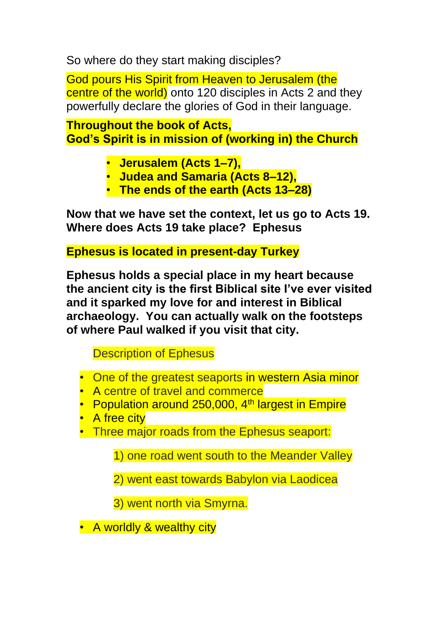So where do they start making disciples?

God pours His Spirit from Heaven to Jerusalem (the centre of the world) onto 120 disciples in Acts 2 and they powerfully declare the glories of God in their language.

**Throughout the book of Acts, God's Spirit is in mission of (working in) the Church**

- **Jerusalem (Acts 1–7),**
- **Judea and Samaria (Acts 8–12),**
- **The ends of the earth (Acts 13–28)**

**Now that we have set the context, let us go to Acts 19. Where does Acts 19 take place? Ephesus** 

**Ephesus is located in present-day Turkey**

**Ephesus holds a special place in my heart because the ancient city is the first Biblical site I've ever visited and it sparked my love for and interest in Biblical archaeology. You can actually walk on the footsteps of where Paul walked if you visit that city.** 

Description of Ephesus

- One of the greatest seaports in western Asia minor
- A centre of travel and commerce
- Population around 250,000, 4<sup>th</sup> largest in Empire
- A free city
- Three major roads from the Ephesus seaport:

1) one road went south to the Meander Valley

2) went east towards Babylon via Laodicea

3) went north via Smyrna.

• A worldly & wealthy city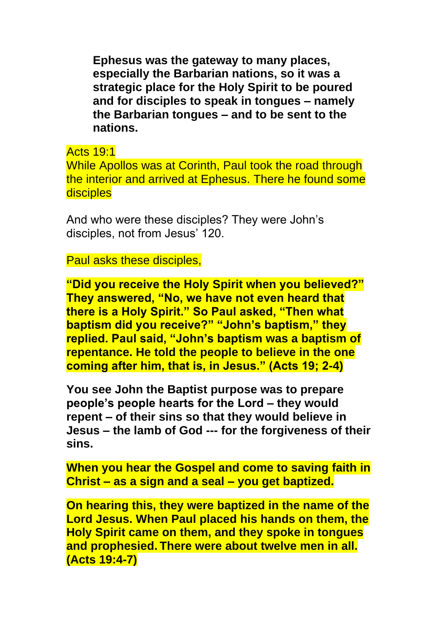**Ephesus was the gateway to many places, especially the Barbarian nations, so it was a strategic place for the Holy Spirit to be poured and for disciples to speak in tongues – namely the Barbarian tongues – and to be sent to the nations.** 

Acts 19:1

While Apollos was at Corinth, Paul took the road through the interior and arrived at Ephesus. There he found some **disciples** 

And who were these disciples? They were John's disciples, not from Jesus' 120.

Paul asks these disciples,

**"Did you receive the Holy Spirit when you believed?" They answered, "No, we have not even heard that there is a Holy Spirit." So Paul asked, "Then what baptism did you receive?" "John's baptism," they replied. Paul said, "John's baptism was a baptism of repentance. He told the people to believe in the one coming after him, that is, in Jesus." (Acts 19; 2-4)**

**You see John the Baptist purpose was to prepare people's people hearts for the Lord – they would repent – of their sins so that they would believe in Jesus – the lamb of God --- for the forgiveness of their sins.** 

**When you hear the Gospel and come to saving faith in Christ – as a sign and a seal – you get baptized.** 

**On hearing this, they were baptized in the name of the Lord Jesus. When Paul placed his hands on them, the Holy Spirit came on them, and they spoke in tongues and prophesied. There were about twelve men in all. (Acts 19:4-7)**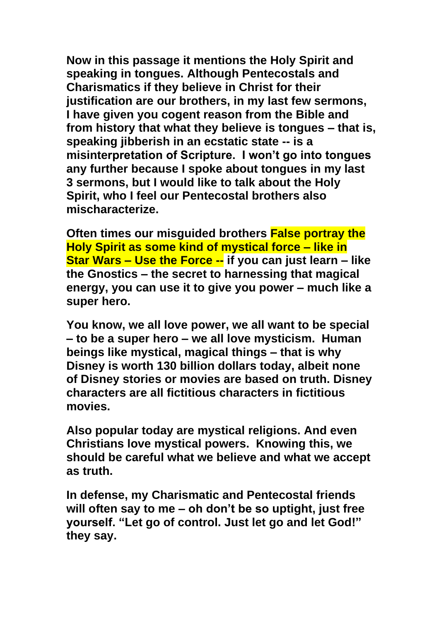**Now in this passage it mentions the Holy Spirit and speaking in tongues. Although Pentecostals and Charismatics if they believe in Christ for their justification are our brothers, in my last few sermons, I have given you cogent reason from the Bible and from history that what they believe is tongues – that is, speaking jibberish in an ecstatic state -- is a misinterpretation of Scripture. I won't go into tongues any further because I spoke about tongues in my last 3 sermons, but I would like to talk about the Holy Spirit, who I feel our Pentecostal brothers also mischaracterize.** 

**Often times our misguided brothers False portray the Holy Spirit as some kind of mystical force – like in Star Wars – Use the Force -- if you can just learn – like the Gnostics – the secret to harnessing that magical energy, you can use it to give you power – much like a super hero.** 

**You know, we all love power, we all want to be special – to be a super hero – we all love mysticism. Human beings like mystical, magical things – that is why Disney is worth 130 billion dollars today, albeit none of Disney stories or movies are based on truth. Disney characters are all fictitious characters in fictitious movies.** 

**Also popular today are mystical religions. And even Christians love mystical powers. Knowing this, we should be careful what we believe and what we accept as truth.** 

**In defense, my Charismatic and Pentecostal friends will often say to me – oh don't be so uptight, just free yourself. "Let go of control. Just let go and let God!" they say.**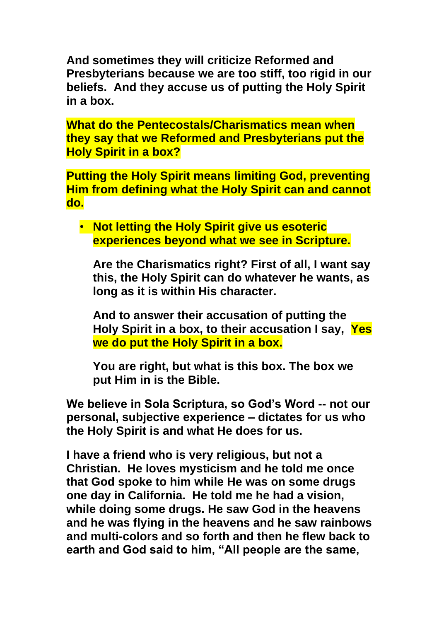**And sometimes they will criticize Reformed and Presbyterians because we are too stiff, too rigid in our beliefs. And they accuse us of putting the Holy Spirit in a box.**

**What do the Pentecostals/Charismatics mean when they say that we Reformed and Presbyterians put the Holy Spirit in a box?** 

**Putting the Holy Spirit means limiting God, preventing Him from defining what the Holy Spirit can and cannot do.** 

• **Not letting the Holy Spirit give us esoteric experiences beyond what we see in Scripture.** 

**Are the Charismatics right? First of all, I want say this, the Holy Spirit can do whatever he wants, as long as it is within His character.** 

**And to answer their accusation of putting the Holy Spirit in a box, to their accusation I say, Yes we do put the Holy Spirit in a box.** 

**You are right, but what is this box. The box we put Him in is the Bible.** 

**We believe in Sola Scriptura, so God's Word -- not our personal, subjective experience – dictates for us who the Holy Spirit is and what He does for us.** 

**I have a friend who is very religious, but not a Christian. He loves mysticism and he told me once that God spoke to him while He was on some drugs one day in California. He told me he had a vision, while doing some drugs. He saw God in the heavens and he was flying in the heavens and he saw rainbows and multi-colors and so forth and then he flew back to earth and God said to him, "All people are the same,**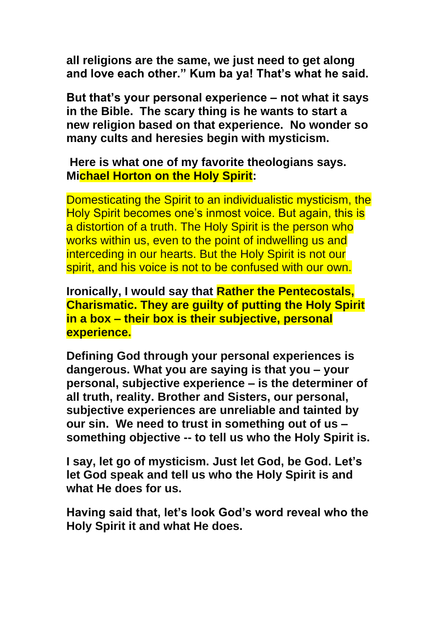**all religions are the same, we just need to get along and love each other." Kum ba ya! That's what he said.** 

**But that's your personal experience – not what it says in the Bible. The scary thing is he wants to start a new religion based on that experience. No wonder so many cults and heresies begin with mysticism.** 

### **Here is what one of my favorite theologians says. Michael Horton on the Holy Spirit:**

Domesticating the Spirit to an individualistic mysticism, the Holy Spirit becomes one's inmost voice. But again, this is a distortion of a truth. The Holy Spirit is the person who works within us, even to the point of indwelling us and interceding in our hearts. But the Holy Spirit is not our spirit, and his voice is not to be confused with our own.

**Ironically, I would say that Rather the Pentecostals, Charismatic. They are guilty of putting the Holy Spirit in a box – their box is their subjective, personal experience.**

**Defining God through your personal experiences is dangerous. What you are saying is that you – your personal, subjective experience – is the determiner of all truth, reality. Brother and Sisters, our personal, subjective experiences are unreliable and tainted by our sin. We need to trust in something out of us – something objective -- to tell us who the Holy Spirit is.** 

**I say, let go of mysticism. Just let God, be God. Let's let God speak and tell us who the Holy Spirit is and what He does for us.** 

**Having said that, let's look God's word reveal who the Holy Spirit it and what He does.**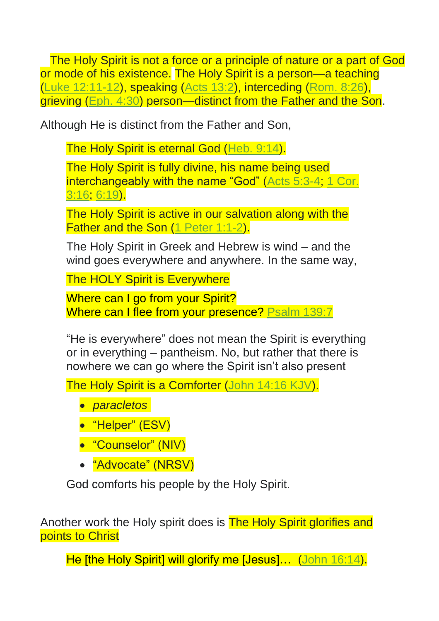The Holy Spirit is not a force or a principle of nature or a part of God or mode of his existence. The Holy Spirit is a person—a teaching [\(Luke 12:11-12\)](https://biblia.com/bible/esv/Luke%2012.11-12), speaking [\(Acts 13:2\)](https://biblia.com/bible/esv/Acts%2013.2), interceding [\(Rom. 8:26\)](https://biblia.com/bible/esv/Rom.%208.26), grieving [\(Eph. 4:30\)](https://biblia.com/bible/esv/Eph.%204.30) person—distinct from the Father and the Son.

Although He is distinct from the Father and Son,

The Holy Spirit is eternal God [\(Heb. 9:14\)](https://biblia.com/bible/esv/Heb.%209.14).

The Holy Spirit is fully divine, his name being used interchangeably with the name "God" [\(Acts 5:3-4;](https://biblia.com/bible/esv/Acts%205.3-4) 1 Cor. [3:16;](https://biblia.com/bible/esv/1%20Cor.%203.16) [6:19\)](https://biblia.com/bible/esv/1%20Cor%206.19).

The Holy Spirit is active in our salvation along with the Father and the Son [\(1 Peter 1:1-2\)](https://biblia.com/bible/esv/1%20Pet%201.1-2).

The Holy Spirit in Greek and Hebrew is wind – and the wind goes everywhere and anywhere. In the same way,

The HOLY Spirit is Everywhere

Where can I go from your Spirit? Where can I flee from your presence? [Psalm 139:7](https://biblia.com/bible/esv/Ps%20139.7)

"He is everywhere" does not mean the Spirit is everything or in everything – pantheism. No, but rather that there is nowhere we can go where the Spirit isn't also present

The Holy Spirit is a Comforter [\(John 14:16 KJV\)](https://biblia.com/bible/kjv1900/John%2014.16).

- *paracletos*
- "Helper" (ESV)
- "Counselor" (NIV)
- "Advocate" (NRSV)

God comforts his people by the Holy Spirit.

Another work the Holy spirit does is The Holy Spirit glorifies and points to Christ

He *[the Holy Spirit] will glorify me [Jesus]... [\(John 16:14\)](https://biblia.com/bible/esv/John%2016.14).*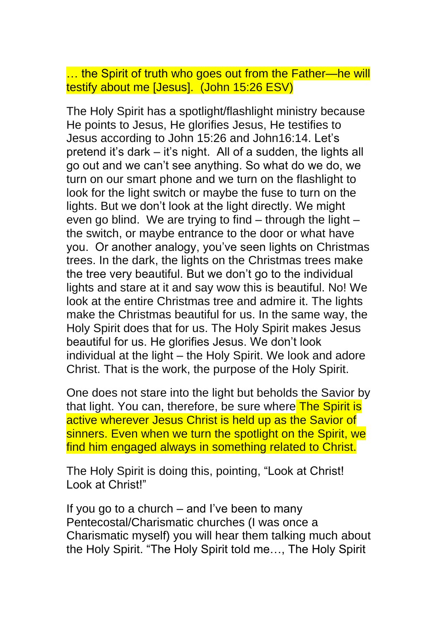… the Spirit of truth who goes out from the Father—he will testify about me [Jesus]. (John 15:26 ESV)

The Holy Spirit has a spotlight/flashlight ministry because He points to Jesus, He glorifies Jesus, He testifies to Jesus according to John 15:26 and John16:14. Let's pretend it's dark – it's night. All of a sudden, the lights all go out and we can't see anything. So what do we do, we turn on our smart phone and we turn on the flashlight to look for the light switch or maybe the fuse to turn on the lights. But we don't look at the light directly. We might even go blind. We are trying to find – through the light – the switch, or maybe entrance to the door or what have you. Or another analogy, you've seen lights on Christmas trees. In the dark, the lights on the Christmas trees make the tree very beautiful. But we don't go to the individual lights and stare at it and say wow this is beautiful. No! We look at the entire Christmas tree and admire it. The lights make the Christmas beautiful for us. In the same way, the Holy Spirit does that for us. The Holy Spirit makes Jesus beautiful for us. He glorifies Jesus. We don't look individual at the light – the Holy Spirit. We look and adore Christ. That is the work, the purpose of the Holy Spirit.

One does not stare into the light but beholds the Savior by that light. You can, therefore, be sure where The Spirit is active wherever Jesus Christ is held up as the Savior of sinners. Even when we turn the spotlight on the Spirit, we find him engaged always in something related to Christ.

The Holy Spirit is doing this, pointing, "Look at Christ! Look at Christ!"

If you go to a church – and I've been to many Pentecostal/Charismatic churches (I was once a Charismatic myself) you will hear them talking much about the Holy Spirit. "The Holy Spirit told me…, The Holy Spirit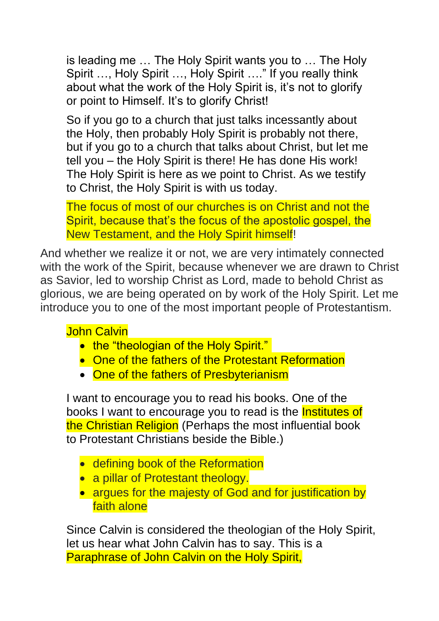is leading me … The Holy Spirit wants you to … The Holy Spirit …, Holy Spirit …, Holy Spirit …." If you really think about what the work of the Holy Spirit is, it's not to glorify or point to Himself. It's to glorify Christ!

So if you go to a church that just talks incessantly about the Holy, then probably Holy Spirit is probably not there, but if you go to a church that talks about Christ, but let me tell you – the Holy Spirit is there! He has done His work! The Holy Spirit is here as we point to Christ. As we testify to Christ, the Holy Spirit is with us today.

The focus of most of our churches is on Christ and not the Spirit, because that's the focus of the apostolic gospel, the New Testament, and the Holy Spirit himself!

And whether we realize it or not, we are very intimately connected with the work of the Spirit, because whenever we are drawn to Christ as Savior, led to worship Christ as Lord, made to behold Christ as glorious, we are being operated on by work of the Holy Spirit. Let me introduce you to one of the most important people of Protestantism.

# John Calvin

- the "theologian of the Holy Spirit."
- One of the fathers of the Protestant Reformation
- One of the fathers of Presbyterianism

I want to encourage you to read his books. One of the books I want to encourage you to read is the Institutes of the Christian Religion (Perhaps the most influential book to Protestant Christians beside the Bible.)

- defining book of the Reformation
- a pillar of Protestant theology.
- argues for the majesty of God and for justification by faith alone

Since Calvin is considered the theologian of the Holy Spirit, let us hear what John Calvin has to say. This is a Paraphrase of John Calvin on the Holy Spirit,